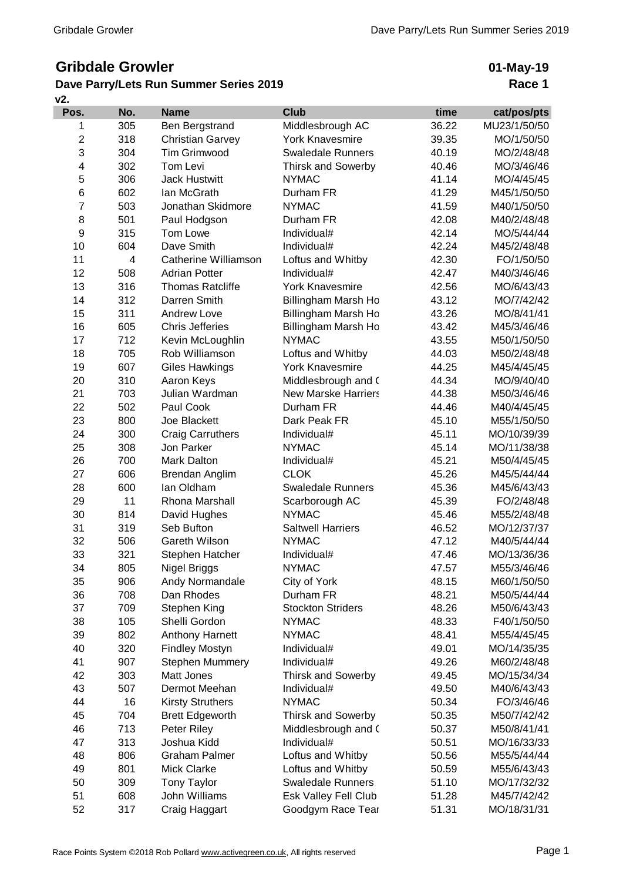## **Gribdale Growler**

## **Dave Parry/Lets Run Summer Series 2019**

**01-May-19 Race 1**

| v2.              |                |                         |                            |       |              |
|------------------|----------------|-------------------------|----------------------------|-------|--------------|
| Pos.             | No.            | <b>Name</b>             | <b>Club</b>                | time  | cat/pos/pts  |
| 1                | 305            | Ben Bergstrand          | Middlesbrough AC           | 36.22 | MU23/1/50/50 |
| $\mathbf 2$      | 318            | <b>Christian Garvey</b> | <b>York Knavesmire</b>     | 39.35 | MO/1/50/50   |
| 3                | 304            | <b>Tim Grimwood</b>     | <b>Swaledale Runners</b>   | 40.19 | MO/2/48/48   |
| 4                | 302            | Tom Levi                | <b>Thirsk and Sowerby</b>  | 40.46 | MO/3/46/46   |
| 5                | 306            | <b>Jack Hustwitt</b>    | <b>NYMAC</b>               | 41.14 | MO/4/45/45   |
| $\,6$            | 602            | lan McGrath             | Durham FR                  | 41.29 | M45/1/50/50  |
| $\overline{7}$   | 503            | Jonathan Skidmore       | <b>NYMAC</b>               | 41.59 | M40/1/50/50  |
| 8                | 501            | Paul Hodgson            | Durham FR                  | 42.08 | M40/2/48/48  |
| $\boldsymbol{9}$ | 315            | Tom Lowe                | Individual#                | 42.14 | MO/5/44/44   |
| 10               | 604            | Dave Smith              | Individual#                | 42.24 | M45/2/48/48  |
| 11               | $\overline{4}$ | Catherine Williamson    | Loftus and Whitby          | 42.30 | FO/1/50/50   |
| 12               | 508            | <b>Adrian Potter</b>    | Individual#                | 42.47 | M40/3/46/46  |
| 13               | 316            | <b>Thomas Ratcliffe</b> | <b>York Knavesmire</b>     | 42.56 | MO/6/43/43   |
| 14               | 312            | Darren Smith            | <b>Billingham Marsh Ho</b> | 43.12 | MO/7/42/42   |
| 15               | 311            | <b>Andrew Love</b>      | Billingham Marsh Ho        | 43.26 | MO/8/41/41   |
| 16               | 605            | <b>Chris Jefferies</b>  | Billingham Marsh Ho        | 43.42 | M45/3/46/46  |
| 17               | 712            | Kevin McLoughlin        | <b>NYMAC</b>               | 43.55 | M50/1/50/50  |
| 18               | 705            | Rob Williamson          | Loftus and Whitby          | 44.03 | M50/2/48/48  |
| 19               | 607            | <b>Giles Hawkings</b>   | <b>York Knavesmire</b>     | 44.25 | M45/4/45/45  |
| 20               | 310            | Aaron Keys              | Middlesbrough and (        | 44.34 | MO/9/40/40   |
| 21               | 703            | Julian Wardman          | <b>New Marske Harriers</b> | 44.38 | M50/3/46/46  |
| 22               | 502            | Paul Cook               | Durham FR                  | 44.46 | M40/4/45/45  |
| 23               | 800            | Joe Blackett            | Dark Peak FR               | 45.10 | M55/1/50/50  |
| 24               | 300            | <b>Craig Carruthers</b> | Individual#                | 45.11 | MO/10/39/39  |
| 25               | 308            | Jon Parker              | <b>NYMAC</b>               | 45.14 | MO/11/38/38  |
| 26               | 700            | Mark Dalton             | Individual#                | 45.21 | M50/4/45/45  |
| 27               | 606            | Brendan Anglim          | <b>CLOK</b>                | 45.26 | M45/5/44/44  |
| 28               | 600            | lan Oldham              | <b>Swaledale Runners</b>   | 45.36 | M45/6/43/43  |
| 29               | 11             | Rhona Marshall          | Scarborough AC             | 45.39 | FO/2/48/48   |
| 30               | 814            | David Hughes            | <b>NYMAC</b>               | 45.46 | M55/2/48/48  |
| 31               | 319            | Seb Bufton              | <b>Saltwell Harriers</b>   | 46.52 | MO/12/37/37  |
| 32               | 506            | <b>Gareth Wilson</b>    | <b>NYMAC</b>               | 47.12 | M40/5/44/44  |
| 33               | 321            | Stephen Hatcher         | Individual#                | 47.46 | MO/13/36/36  |
| 34               | 805            | Nigel Briggs            | <b>NYMAC</b>               | 47.57 | M55/3/46/46  |
| 35               | 906            | Andy Normandale         | City of York               | 48.15 | M60/1/50/50  |
| 36               | 708            | Dan Rhodes              | Durham FR                  | 48.21 | M50/5/44/44  |
| 37               | 709            | Stephen King            | <b>Stockton Striders</b>   | 48.26 | M50/6/43/43  |
| 38               | 105            | Shelli Gordon           | <b>NYMAC</b>               | 48.33 | F40/1/50/50  |
| 39               | 802            | Anthony Harnett         | <b>NYMAC</b>               | 48.41 | M55/4/45/45  |
| 40               | 320            | <b>Findley Mostyn</b>   | Individual#                | 49.01 | MO/14/35/35  |
| 41               | 907            | <b>Stephen Mummery</b>  | Individual#                | 49.26 | M60/2/48/48  |
| 42               | 303            | Matt Jones              | <b>Thirsk and Sowerby</b>  | 49.45 | MO/15/34/34  |
| 43               | 507            | Dermot Meehan           | Individual#                | 49.50 | M40/6/43/43  |
| 44               | 16             | <b>Kirsty Struthers</b> | <b>NYMAC</b>               | 50.34 | FO/3/46/46   |
| 45               | 704            | <b>Brett Edgeworth</b>  | <b>Thirsk and Sowerby</b>  | 50.35 | M50/7/42/42  |
| 46               | 713            | Peter Riley             | Middlesbrough and (        | 50.37 | M50/8/41/41  |
| 47               | 313            | Joshua Kidd             | Individual#                | 50.51 | MO/16/33/33  |
| 48               | 806            | <b>Graham Palmer</b>    | Loftus and Whitby          | 50.56 | M55/5/44/44  |
| 49               | 801            | Mick Clarke             | Loftus and Whitby          | 50.59 | M55/6/43/43  |
| 50               | 309            | <b>Tony Taylor</b>      | <b>Swaledale Runners</b>   | 51.10 | MO/17/32/32  |
| 51               | 608            | John Williams           | Esk Valley Fell Club       | 51.28 | M45/7/42/42  |
| 52               | 317            | Craig Haggart           | Goodgym Race Tear          | 51.31 | MO/18/31/31  |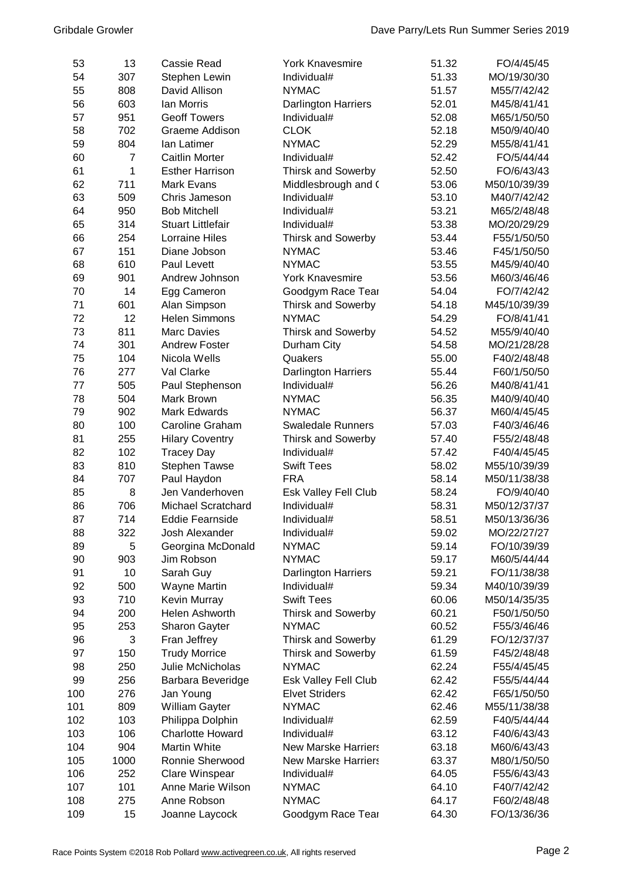| 53  | 13   | <b>Cassie Read</b>       | <b>York Knavesmire</b>     | 51.32 | FO/4/45/45   |
|-----|------|--------------------------|----------------------------|-------|--------------|
| 54  | 307  | Stephen Lewin            | Individual#                | 51.33 | MO/19/30/30  |
| 55  | 808  | David Allison            | <b>NYMAC</b>               |       | M55/7/42/42  |
| 56  | 603  | lan Morris               | <b>Darlington Harriers</b> |       | M45/8/41/41  |
| 57  | 951  | <b>Geoff Towers</b>      | Individual#                | 52.08 | M65/1/50/50  |
| 58  | 702  | Graeme Addison           | <b>CLOK</b>                | 52.18 | M50/9/40/40  |
| 59  | 804  | lan Latimer              | <b>NYMAC</b>               | 52.29 | M55/8/41/41  |
| 60  | 7    | <b>Caitlin Morter</b>    | Individual#                | 52.42 | FO/5/44/44   |
| 61  | 1    | <b>Esther Harrison</b>   | Thirsk and Sowerby         | 52.50 | FO/6/43/43   |
| 62  | 711  | <b>Mark Evans</b>        | Middlesbrough and (        | 53.06 | M50/10/39/39 |
| 63  | 509  | Chris Jameson            | Individual#                | 53.10 | M40/7/42/42  |
| 64  | 950  | <b>Bob Mitchell</b>      | Individual#                | 53.21 | M65/2/48/48  |
| 65  | 314  | <b>Stuart Littlefair</b> | Individual#                | 53.38 | MO/20/29/29  |
| 66  | 254  | <b>Lorraine Hiles</b>    | <b>Thirsk and Sowerby</b>  | 53.44 | F55/1/50/50  |
| 67  | 151  | Diane Jobson             | <b>NYMAC</b>               | 53.46 | F45/1/50/50  |
| 68  | 610  | Paul Levett              | <b>NYMAC</b>               | 53.55 | M45/9/40/40  |
| 69  | 901  | Andrew Johnson           | <b>York Knavesmire</b>     | 53.56 | M60/3/46/46  |
| 70  | 14   | Egg Cameron              | Goodgym Race Tear          | 54.04 | FO/7/42/42   |
| 71  | 601  | Alan Simpson             | Thirsk and Sowerby         | 54.18 | M45/10/39/39 |
| 72  | 12   | <b>Helen Simmons</b>     | <b>NYMAC</b>               | 54.29 | FO/8/41/41   |
| 73  | 811  | <b>Marc Davies</b>       | <b>Thirsk and Sowerby</b>  | 54.52 | M55/9/40/40  |
| 74  | 301  | <b>Andrew Foster</b>     |                            | 54.58 | MO/21/28/28  |
| 75  | 104  | Nicola Wells             | Durham City<br>Quakers     | 55.00 | F40/2/48/48  |
| 76  | 277  | Val Clarke               |                            |       |              |
|     | 505  |                          | <b>Darlington Harriers</b> | 55.44 | F60/1/50/50  |
| 77  |      | Paul Stephenson          | Individual#                | 56.26 | M40/8/41/41  |
| 78  | 504  | Mark Brown               | <b>NYMAC</b>               | 56.35 | M40/9/40/40  |
| 79  | 902  | <b>Mark Edwards</b>      | <b>NYMAC</b>               | 56.37 | M60/4/45/45  |
| 80  | 100  | Caroline Graham          | <b>Swaledale Runners</b>   | 57.03 | F40/3/46/46  |
| 81  | 255  | <b>Hilary Coventry</b>   | <b>Thirsk and Sowerby</b>  | 57.40 | F55/2/48/48  |
| 82  | 102  | <b>Tracey Day</b>        | Individual#                | 57.42 | F40/4/45/45  |
| 83  | 810  | <b>Stephen Tawse</b>     | <b>Swift Tees</b>          | 58.02 | M55/10/39/39 |
| 84  | 707  | Paul Haydon              | <b>FRA</b>                 | 58.14 | M50/11/38/38 |
| 85  | 8    | Jen Vanderhoven          | Esk Valley Fell Club       | 58.24 | FO/9/40/40   |
| 86  | 706  | Michael Scratchard       | Individual#                | 58.31 | M50/12/37/37 |
| 87  | 714  | <b>Eddie Fearnside</b>   | Individual#                | 58.51 | M50/13/36/36 |
| 88  | 322  | Josh Alexander           | Individual#                | 59.02 | MO/22/27/27  |
| 89  | 5    | Georgina McDonald        | <b>NYMAC</b>               | 59.14 | FO/10/39/39  |
| 90  | 903  | Jim Robson               | <b>NYMAC</b>               | 59.17 | M60/5/44/44  |
| 91  | 10   | Sarah Guy                | <b>Darlington Harriers</b> | 59.21 | FO/11/38/38  |
| 92  | 500  | Wayne Martin             | Individual#                | 59.34 | M40/10/39/39 |
| 93  | 710  | Kevin Murray             | <b>Swift Tees</b>          | 60.06 | M50/14/35/35 |
| 94  | 200  | Helen Ashworth           | <b>Thirsk and Sowerby</b>  | 60.21 | F50/1/50/50  |
| 95  | 253  | Sharon Gayter            | <b>NYMAC</b>               | 60.52 | F55/3/46/46  |
| 96  | 3    | Fran Jeffrey             | <b>Thirsk and Sowerby</b>  | 61.29 | FO/12/37/37  |
| 97  | 150  | <b>Trudy Morrice</b>     | <b>Thirsk and Sowerby</b>  | 61.59 | F45/2/48/48  |
| 98  | 250  | Julie McNicholas         | <b>NYMAC</b>               | 62.24 | F55/4/45/45  |
| 99  | 256  | Barbara Beveridge        | Esk Valley Fell Club       | 62.42 | F55/5/44/44  |
| 100 | 276  | Jan Young                | <b>Elvet Striders</b>      | 62.42 | F65/1/50/50  |
| 101 | 809  | William Gayter           | <b>NYMAC</b>               | 62.46 | M55/11/38/38 |
| 102 | 103  | Philippa Dolphin         | Individual#                | 62.59 | F40/5/44/44  |
| 103 | 106  | <b>Charlotte Howard</b>  | Individual#                | 63.12 | F40/6/43/43  |
| 104 | 904  | <b>Martin White</b>      | <b>New Marske Harriers</b> | 63.18 | M60/6/43/43  |
| 105 | 1000 | Ronnie Sherwood          | <b>New Marske Harriers</b> | 63.37 | M80/1/50/50  |
| 106 | 252  | Clare Winspear           | Individual#                | 64.05 | F55/6/43/43  |
| 107 | 101  | Anne Marie Wilson        | <b>NYMAC</b>               | 64.10 | F40/7/42/42  |
| 108 | 275  | Anne Robson              | <b>NYMAC</b>               | 64.17 | F60/2/48/48  |
| 109 | 15   | Joanne Laycock           | Goodgym Race Tear          | 64.30 | FO/13/36/36  |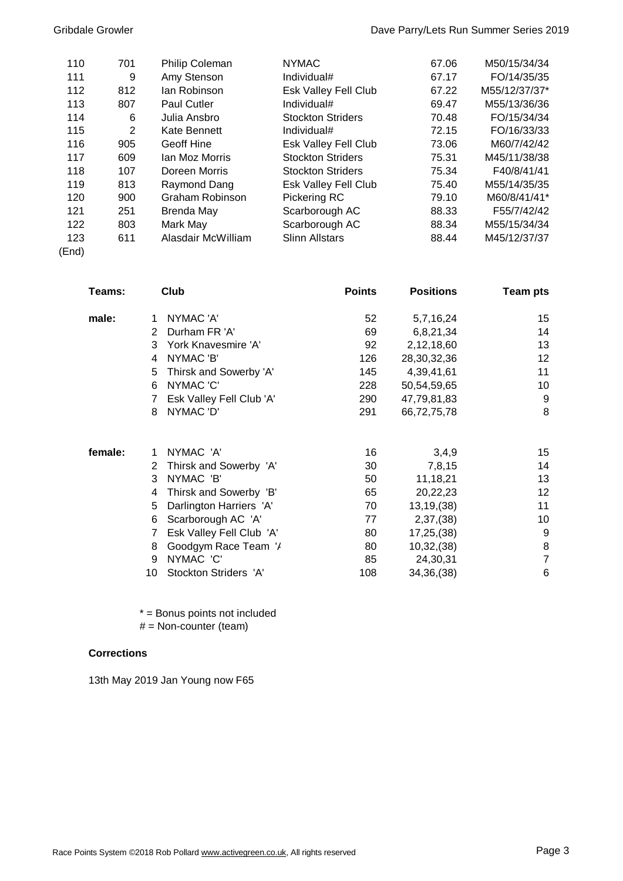| 110   | 701            | Philip Coleman     | <b>NYMAC</b>             | 67.06 | M50/15/34/34  |
|-------|----------------|--------------------|--------------------------|-------|---------------|
| 111   | 9              | Amy Stenson        | Individual#              | 67.17 | FO/14/35/35   |
| 112   | 812            | lan Robinson       | Esk Valley Fell Club     | 67.22 | M55/12/37/37* |
| 113   | 807            | <b>Paul Cutler</b> | Individual#              | 69.47 | M55/13/36/36  |
| 114   | 6              | Julia Ansbro       | <b>Stockton Striders</b> | 70.48 | FO/15/34/34   |
| 115   | $\overline{2}$ | Kate Bennett       | Individual#              | 72.15 | FO/16/33/33   |
| 116   | 905            | Geoff Hine         | Esk Valley Fell Club     | 73.06 | M60/7/42/42   |
| 117   | 609            | Ian Moz Morris     | <b>Stockton Striders</b> | 75.31 | M45/11/38/38  |
| 118   | 107            | Doreen Morris      | <b>Stockton Striders</b> | 75.34 | F40/8/41/41   |
| 119   | 813            | Raymond Dang       | Esk Valley Fell Club     | 75.40 | M55/14/35/35  |
| 120   | 900            | Graham Robinson    | Pickering RC             | 79.10 | M60/8/41/41*  |
| 121   | 251            | Brenda May         | Scarborough AC           | 88.33 | F55/7/42/42   |
| 122   | 803            | Mark May           | Scarborough AC           | 88.34 | M55/15/34/34  |
| 123   | 611            | Alasdair McWilliam | <b>Slinn Allstars</b>    | 88.44 | M45/12/37/37  |
| (End) |                |                    |                          |       |               |

| Teams:  |    | Club                     | <b>Points</b> | <b>Positions</b> | <b>Team pts</b> |
|---------|----|--------------------------|---------------|------------------|-----------------|
| male:   | 1  | NYMAC 'A'                | 52            | 5,7,16,24        | 15              |
|         | 2  | Durham FR 'A'            | 69            | 6,8,21,34        | 14              |
|         | 3  | York Knavesmire 'A'      | 92            | 2,12,18,60       | 13              |
|         | 4  | NYMAC 'B'                | 126           | 28, 30, 32, 36   | 12              |
|         | 5  | Thirsk and Sowerby 'A'   | 145           | 4,39,41,61       | 11              |
|         | 6  | NYMAC 'C'                | 228           | 50,54,59,65      | 10              |
|         |    | Esk Valley Fell Club 'A' | 290           | 47,79,81,83      | 9               |
|         | 8  | NYMAC 'D'                | 291           | 66,72,75,78      | 8               |
| female: | 1  | NYMAC 'A'                | 16            | 3,4,9            | 15              |
|         | 2  | Thirsk and Sowerby 'A'   | 30            | 7,8,15           | 14              |
|         | 3  | NYMAC 'B'                | 50            | 11,18,21         | 13              |
|         | 4  | Thirsk and Sowerby 'B'   | 65            | 20,22,23         | 12              |
|         | 5  | Darlington Harriers 'A'  | 70            | 13, 19, (38)     | 11              |
|         | 6  | Scarborough AC 'A'       | 77            | 2,37,(38)        | 10              |
|         | 7  | Esk Valley Fell Club 'A' | 80            | 17,25,(38)       | 9               |
|         | 8  | Goodgym Race Team '/     | 80            | 10,32,(38)       | 8               |
|         | 9  | NYMAC 'C'                | 85            | 24,30,31         | $\overline{7}$  |
|         | 10 | Stockton Striders 'A'    | 108           | 34,36,(38)       | 6               |

\* = Bonus points not included

 $#$  = Non-counter (team)

## **Corrections**

13th May 2019 Jan Young now F65